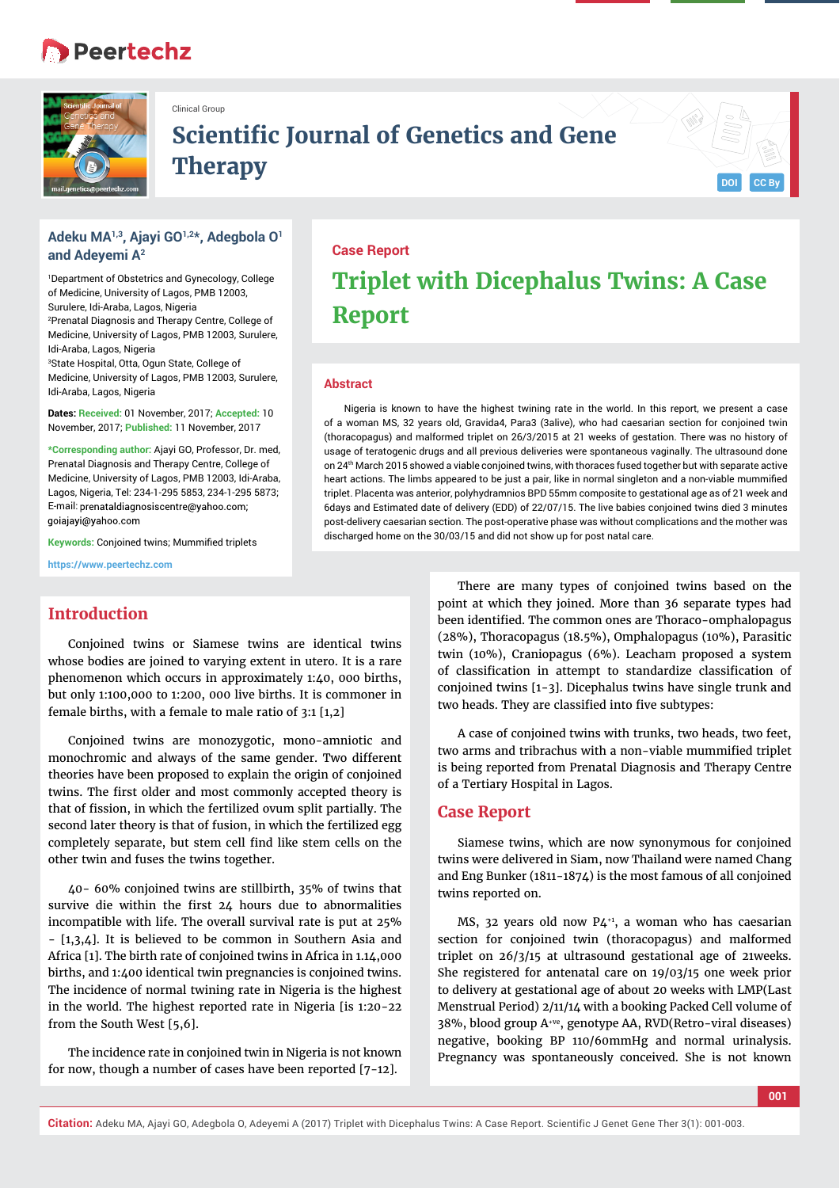# **Peertechz**



Clinical Group

## **Scientific Journal of Genetics and Gene**  $The$ **rapy**



### **Adeku MA1,3, Ajayi GO1,2\*, Adegbola O1 and Adeyemi A2**

1 Department of Obstetrics and Gynecology, College of Medicine, University of Lagos, PMB 12003, Surulere, Idi-Araba, Lagos, Nigeria 2 Prenatal Diagnosis and Therapy Centre, College of Medicine, University of Lagos, PMB 12003, Surulere, Idi-Araba, Lagos, Nigeria 3 State Hospital, Otta, Ogun State, College of Medicine, University of Lagos, PMB 12003, Surulere, Idi-Araba, Lagos, Nigeria

**Dates: Received:** 01 November, 2017; **Accepted:** 10 November, 2017; **Published:** 11 November, 2017

**\*Corresponding author:** Ajayi GO, Professor, Dr. med, Prenatal Diagnosis and Therapy Centre, College of Medicine, University of Lagos, PMB 12003, Idi-Araba, Lagos, Nigeria, Tel: 234-1-295 5853, 234-1-295 5873; E-mail: prenataldiagnosiscentre@yahoo.com; goiaiavi@vahoo.com

**Keywords:** Conjoined twins; Mummified triplets

**https://www.peertechz.com**

### **Introduction**

Conjoined twins or Siamese twins are identical twins whose bodies are joined to varying extent in utero. It is a rare phenomenon which occurs in approximately 1:40, 000 births, but only 1:100,000 to 1:200, 000 live births. It is commoner in female births, with a female to male ratio of 3:1 [1,2]

Conjoined twins are monozygotic, mono-amniotic and monochromic and always of the same gender. Two different theories have been proposed to explain the origin of conjoined twins. The first older and most commonly accepted theory is that of fission, in which the fertilized ovum split partially. The second later theory is that of fusion, in which the fertilized egg completely separate, but stem cell find like stem cells on the other twin and fuses the twins together.

40- 60% conjoined twins are stillbirth, 35% of twins that survive die within the first 24 hours due to abnormalities incompatible with life. The overall survival rate is put at 25% - [1,3,4]. It is believed to be common in Southern Asia and Africa [1]. The birth rate of conjoined twins in Africa in 1.14,000 births, and 1:400 identical twin pregnancies is conjoined twins. The incidence of normal twining rate in Nigeria is the highest in the world. The highest reported rate in Nigeria [is 1:20-22 from the South West [5,6].

The incidence rate in conjoined twin in Nigeria is not known for now, though a number of cases have been reported [7-12].

# **Case Report Triplet with Dicephalus Twins: A Case Report**

#### **Abstract**

Nigeria is known to have the highest twining rate in the world. In this report, we present a case of a woman MS, 32 years old, Gravida4, Para3 (3alive), who had caesarian section for conjoined twin (thoracopagus) and malformed triplet on 26/3/2015 at 21 weeks of gestation. There was no history of usage of teratogenic drugs and all previous deliveries were spontaneous vaginally. The ultrasound done on 24th March 2015 showed a viable conjoined twins, with thoraces fused together but with separate active heart actions. The limbs appeared to be just a pair, like in normal singleton and a non-viable mummified triplet. Placenta was anterior, polyhydramnios BPD 55mm composite to gestational age as of 21 week and 6days and Estimated date of delivery (EDD) of 22/07/15. The live babies conjoined twins died 3 minutes post-delivery caesarian section. The post-operative phase was without complications and the mother was discharged home on the 30/03/15 and did not show up for post natal care.

> There are many types of conjoined twins based on the point at which they joined. More than 36 separate types had been identified. The common ones are Thoraco-omphalopagus (28%), Thoracopagus (18.5%), Omphalopagus (10%), Parasitic twin (10%), Craniopagus (6%). Leacham proposed a system of classification in attempt to standardize classification of conjoined twins [1-3]. Dicephalus twins have single trunk and two heads. They are classified into five subtypes:

> A case of conjoined twins with trunks, two heads, two feet, two arms and tribrachus with a non-viable mummified triplet is being reported from Prenatal Diagnosis and Therapy Centre of a Tertiary Hospital in Lagos.

### **Case Report**

Siamese twins, which are now synonymous for conjoined twins were delivered in Siam, now Thailand were named Chang and Eng Bunker (1811-1874) is the most famous of all conjoined twins reported on.

MS, 32 years old now  $P4^{+1}$ , a woman who has caesarian section for conjoined twin (thoracopagus) and malformed triplet on 26/3/15 at ultrasound gestational age of 21weeks. She registered for antenatal care on 19/03/15 one week prior to delivery at gestational age of about 20 weeks with LMP(Last Menstrual Period) 2/11/14 with a booking Packed Cell volume of 38%, blood group A+ve, genotype AA, RVD(Retro-viral diseases) negative, booking BP 110/60mmHg and normal urinalysis. Pregnancy was spontaneously conceived. She is not known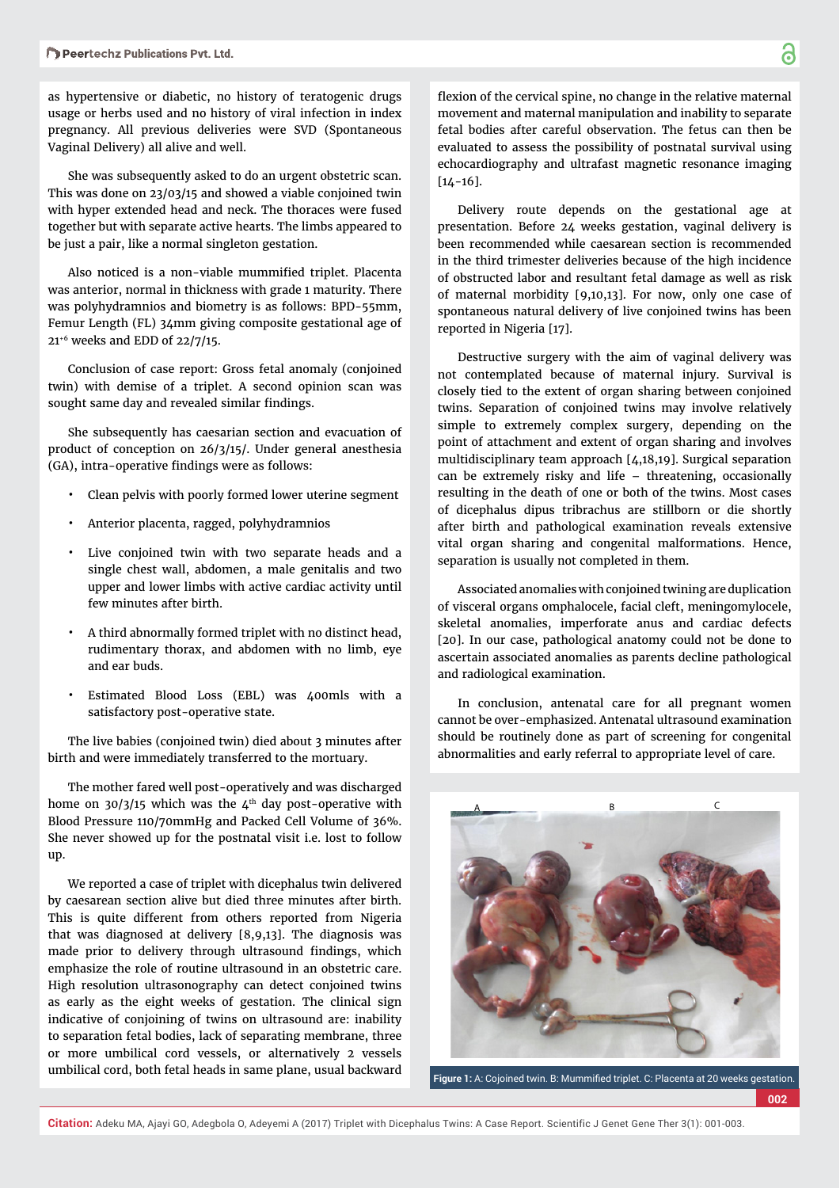as hypertensive or diabetic, no history of teratogenic drugs usage or herbs used and no history of viral infection in index pregnancy. All previous deliveries were SVD (Spontaneous Vaginal Delivery) all alive and well.

She was subsequently asked to do an urgent obstetric scan. This was done on 23/03/15 and showed a viable conjoined twin with hyper extended head and neck. The thoraces were fused together but with separate active hearts. The limbs appeared to be just a pair, like a normal singleton gestation.

Also noticed is a non-viable mummified triplet. Placenta was anterior, normal in thickness with grade 1 maturity. There was polyhydramnios and biometry is as follows: BPD-55mm, Femur Length (FL) 34mm giving composite gestational age of 21+6 weeks and EDD of 22/7/15.

Conclusion of case report: Gross fetal anomaly (conjoined twin) with demise of a triplet. A second opinion scan was sought same day and revealed similar findings.

She subsequently has caesarian section and evacuation of product of conception on 26/3/15/. Under general anesthesia (GA), intra-operative findings were as follows:

- Clean pelvis with poorly formed lower uterine segment
- Anterior placenta, ragged, polyhydramnios
- Live conjoined twin with two separate heads and a single chest wall, abdomen, a male genitalis and two upper and lower limbs with active cardiac activity until few minutes after birth.
- A third abnormally formed triplet with no distinct head, rudimentary thorax, and abdomen with no limb, eye and ear buds.
- Estimated Blood Loss (EBL) was 400mls with a satisfactory post-operative state.

The live babies (conjoined twin) died about 3 minutes after birth and were immediately transferred to the mortuary.

The mother fared well post-operatively and was discharged home on  $30/3/15$  which was the  $4<sup>th</sup>$  day post-operative with Blood Pressure 110/70mmHg and Packed Cell Volume of 36%. She never showed up for the postnatal visit i.e. lost to follow up.

We reported a case of triplet with dicephalus twin delivered by caesarean section alive but died three minutes after birth. This is quite different from others reported from Nigeria that was diagnosed at delivery [8,9,13]. The diagnosis was made prior to delivery through ultrasound findings, which emphasize the role of routine ultrasound in an obstetric care. High resolution ultrasonography can detect conjoined twins as early as the eight weeks of gestation. The clinical sign indicative of conjoining of twins on ultrasound are: inability to separation fetal bodies, lack of separating membrane, three or more umbilical cord vessels, or alternatively 2 vessels umbilical cord, both fetal heads in same plane, usual backward

flexion of the cervical spine, no change in the relative maternal movement and maternal manipulation and inability to separate fetal bodies after careful observation. The fetus can then be evaluated to assess the possibility of postnatal survival using echocardiography and ultrafast magnetic resonance imaging  $[14 - 16]$ .

Delivery route depends on the gestational age at presentation. Before 24 weeks gestation, vaginal delivery is been recommended while caesarean section is recommended in the third trimester deliveries because of the high incidence of obstructed labor and resultant fetal damage as well as risk of maternal morbidity [9,10,13]. For now, only one case of spontaneous natural delivery of live conjoined twins has been reported in Nigeria [17].

Destructive surgery with the aim of vaginal delivery was not contemplated because of maternal injury. Survival is closely tied to the extent of organ sharing between conjoined twins. Separation of conjoined twins may involve relatively simple to extremely complex surgery, depending on the point of attachment and extent of organ sharing and involves multidisciplinary team approach [4,18,19]. Surgical separation can be extremely risky and life – threatening, occasionally resulting in the death of one or both of the twins. Most cases of dicephalus dipus tribrachus are stillborn or die shortly after birth and pathological examination reveals extensive vital organ sharing and congenital malformations. Hence, separation is usually not completed in them.

Associated anomalies with conjoined twining are duplication of visceral organs omphalocele, facial cleft, meningomylocele, skeletal anomalies, imperforate anus and cardiac defects [20]. In our case, pathological anatomy could not be done to ascertain associated anomalies as parents decline pathological and radiological examination.

In conclusion, antenatal care for all pregnant women cannot be over-emphasized. Antenatal ultrasound examination should be routinely done as part of screening for congenital abnormalities and early referral to appropriate level of care.



Figure 1: A: Cojoined twin. B: Mummified triplet. C: Placenta at 20 weeks gestation.

**002**